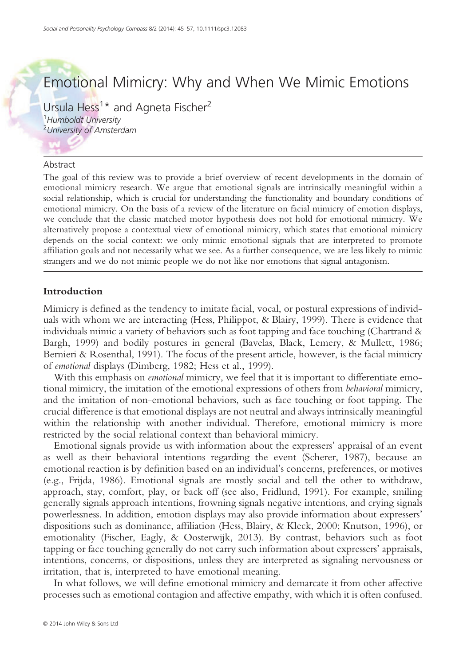# Emotional Mimicry: Why and When We Mimic Emotions

Ursula Hess<sup>1\*</sup> and Agneta Fischer<sup>2</sup> 1 Humboldt University <sup>2</sup>University of Amsterdam

#### Abstract

The goal of this review was to provide a brief overview of recent developments in the domain of emotional mimicry research. We argue that emotional signals are intrinsically meaningful within a social relationship, which is crucial for understanding the functionality and boundary conditions of emotional mimicry. On the basis of a review of the literature on facial mimicry of emotion displays, we conclude that the classic matched motor hypothesis does not hold for emotional mimicry. We alternatively propose a contextual view of emotional mimicry, which states that emotional mimicry depends on the social context: we only mimic emotional signals that are interpreted to promote affiliation goals and not necessarily what we see. As a further consequence, we are less likely to mimic strangers and we do not mimic people we do not like nor emotions that signal antagonism.

#### Introduction

Mimicry is defined as the tendency to imitate facial, vocal, or postural expressions of individuals with whom we are interacting (Hess, Philippot, & Blairy, 1999). There is evidence that individuals mimic a variety of behaviors such as foot tapping and face touching (Chartrand  $\&$ Bargh, 1999) and bodily postures in general (Bavelas, Black, Lemery, & Mullett, 1986; Bernieri & Rosenthal, 1991). The focus of the present article, however, is the facial mimicry of emotional displays (Dimberg, 1982; Hess et al., 1999).

With this emphasis on *emotional* mimicry, we feel that it is important to differentiate emotional mimicry, the imitation of the emotional expressions of others from behavioral mimicry, and the imitation of non-emotional behaviors, such as face touching or foot tapping. The crucial difference is that emotional displays are not neutral and always intrinsically meaningful within the relationship with another individual. Therefore, emotional mimicry is more restricted by the social relational context than behavioral mimicry.

Emotional signals provide us with information about the expressers' appraisal of an event as well as their behavioral intentions regarding the event (Scherer, 1987), because an emotional reaction is by definition based on an individual's concerns, preferences, or motives (e.g., Frijda, 1986). Emotional signals are mostly social and tell the other to withdraw, approach, stay, comfort, play, or back off (see also, Fridlund, 1991). For example, smiling generally signals approach intentions, frowning signals negative intentions, and crying signals powerlessness. In addition, emotion displays may also provide information about expressers' dispositions such as dominance, affiliation (Hess, Blairy, & Kleck, 2000; Knutson, 1996), or emotionality (Fischer, Eagly, & Oosterwijk, 2013). By contrast, behaviors such as foot tapping or face touching generally do not carry such information about expressers' appraisals, intentions, concerns, or dispositions, unless they are interpreted as signaling nervousness or irritation, that is, interpreted to have emotional meaning.

In what follows, we will define emotional mimicry and demarcate it from other affective processes such as emotional contagion and affective empathy, with which it is often confused.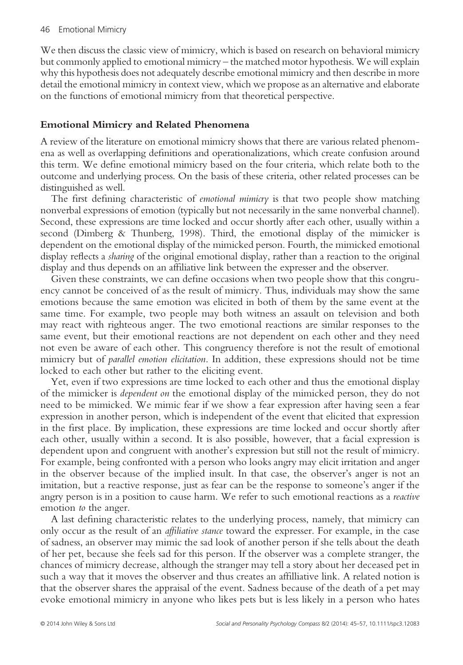We then discuss the classic view of mimicry, which is based on research on behavioral mimicry but commonly applied to emotional mimicry – the matched motor hypothesis. We will explain why this hypothesis does not adequately describe emotional mimicry and then describe in more detail the emotional mimicry in context view, which we propose as an alternative and elaborate on the functions of emotional mimicry from that theoretical perspective.

## Emotional Mimicry and Related Phenomena

A review of the literature on emotional mimicry shows that there are various related phenomena as well as overlapping definitions and operationalizations, which create confusion around this term. We define emotional mimicry based on the four criteria, which relate both to the outcome and underlying process. On the basis of these criteria, other related processes can be distinguished as well.

The first defining characteristic of *emotional mimicry* is that two people show matching nonverbal expressions of emotion (typically but not necessarily in the same nonverbal channel). Second, these expressions are time locked and occur shortly after each other, usually within a second (Dimberg & Thunberg, 1998). Third, the emotional display of the mimicker is dependent on the emotional display of the mimicked person. Fourth, the mimicked emotional display reflects a sharing of the original emotional display, rather than a reaction to the original display and thus depends on an affiliative link between the expresser and the observer.

Given these constraints, we can define occasions when two people show that this congruency cannot be conceived of as the result of mimicry. Thus, individuals may show the same emotions because the same emotion was elicited in both of them by the same event at the same time. For example, two people may both witness an assault on television and both may react with righteous anger. The two emotional reactions are similar responses to the same event, but their emotional reactions are not dependent on each other and they need not even be aware of each other. This congruency therefore is not the result of emotional mimicry but of *parallel emotion elicitation*. In addition, these expressions should not be time locked to each other but rather to the eliciting event.

Yet, even if two expressions are time locked to each other and thus the emotional display of the mimicker is dependent on the emotional display of the mimicked person, they do not need to be mimicked. We mimic fear if we show a fear expression after having seen a fear expression in another person, which is independent of the event that elicited that expression in the first place. By implication, these expressions are time locked and occur shortly after each other, usually within a second. It is also possible, however, that a facial expression is dependent upon and congruent with another's expression but still not the result of mimicry. For example, being confronted with a person who looks angry may elicit irritation and anger in the observer because of the implied insult. In that case, the observer's anger is not an imitation, but a reactive response, just as fear can be the response to someone's anger if the angry person is in a position to cause harm. We refer to such emotional reactions as a reactive emotion *to* the anger.

A last defining characteristic relates to the underlying process, namely, that mimicry can only occur as the result of an affiliative stance toward the expresser. For example, in the case of sadness, an observer may mimic the sad look of another person if she tells about the death of her pet, because she feels sad for this person. If the observer was a complete stranger, the chances of mimicry decrease, although the stranger may tell a story about her deceased pet in such a way that it moves the observer and thus creates an affilliative link. A related notion is that the observer shares the appraisal of the event. Sadness because of the death of a pet may evoke emotional mimicry in anyone who likes pets but is less likely in a person who hates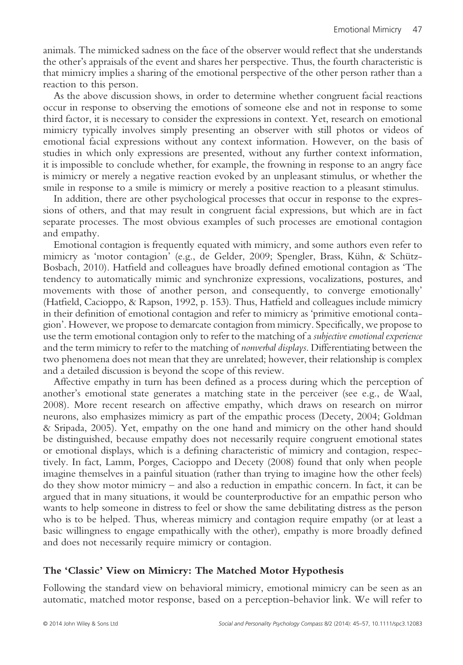animals. The mimicked sadness on the face of the observer would reflect that she understands the other's appraisals of the event and shares her perspective. Thus, the fourth characteristic is that mimicry implies a sharing of the emotional perspective of the other person rather than a reaction to this person.

As the above discussion shows, in order to determine whether congruent facial reactions occur in response to observing the emotions of someone else and not in response to some third factor, it is necessary to consider the expressions in context. Yet, research on emotional mimicry typically involves simply presenting an observer with still photos or videos of emotional facial expressions without any context information. However, on the basis of studies in which only expressions are presented, without any further context information, it is impossible to conclude whether, for example, the frowning in response to an angry face is mimicry or merely a negative reaction evoked by an unpleasant stimulus, or whether the smile in response to a smile is mimicry or merely a positive reaction to a pleasant stimulus.

In addition, there are other psychological processes that occur in response to the expressions of others, and that may result in congruent facial expressions, but which are in fact separate processes. The most obvious examples of such processes are emotional contagion and empathy.

Emotional contagion is frequently equated with mimicry, and some authors even refer to mimicry as 'motor contagion' (e.g., de Gelder, 2009; Spengler, Brass, Kühn, & Schütz-Bosbach, 2010). Hatfield and colleagues have broadly defined emotional contagion as 'The tendency to automatically mimic and synchronize expressions, vocalizations, postures, and movements with those of another person, and consequently, to converge emotionally' (Hatfield, Cacioppo, & Rapson, 1992, p. 153). Thus, Hatfield and colleagues include mimicry in their definition of emotional contagion and refer to mimicry as 'primitive emotional contagion'. However, we propose to demarcate contagion from mimicry. Specifically, we propose to use the term emotional contagion only to refer to the matching of a *subjective emotional experience* and the term mimicry to refer to the matching of nonverbal displays. Differentiating between the two phenomena does not mean that they are unrelated; however, their relationship is complex and a detailed discussion is beyond the scope of this review.

Affective empathy in turn has been defined as a process during which the perception of another's emotional state generates a matching state in the perceiver (see e.g., de Waal, 2008). More recent research on affective empathy, which draws on research on mirror neurons, also emphasizes mimicry as part of the empathic process (Decety, 2004; Goldman & Sripada, 2005). Yet, empathy on the one hand and mimicry on the other hand should be distinguished, because empathy does not necessarily require congruent emotional states or emotional displays, which is a defining characteristic of mimicry and contagion, respectively. In fact, Lamm, Porges, Cacioppo and Decety (2008) found that only when people imagine themselves in a painful situation (rather than trying to imagine how the other feels) do they show motor mimicry – and also a reduction in empathic concern. In fact, it can be argued that in many situations, it would be counterproductive for an empathic person who wants to help someone in distress to feel or show the same debilitating distress as the person who is to be helped. Thus, whereas mimicry and contagion require empathy (or at least a basic willingness to engage empathically with the other), empathy is more broadly defined and does not necessarily require mimicry or contagion.

## The 'Classic' View on Mimicry: The Matched Motor Hypothesis

Following the standard view on behavioral mimicry, emotional mimicry can be seen as an automatic, matched motor response, based on a perception-behavior link. We will refer to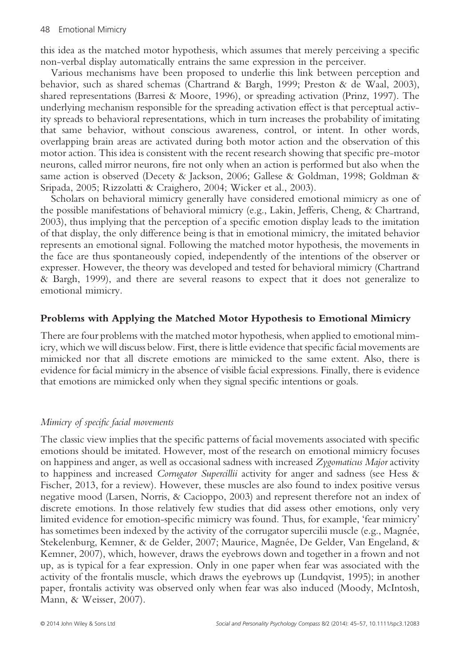this idea as the matched motor hypothesis, which assumes that merely perceiving a specific non-verbal display automatically entrains the same expression in the perceiver.

Various mechanisms have been proposed to underlie this link between perception and behavior, such as shared schemas (Chartrand & Bargh, 1999; Preston & de Waal, 2003), shared representations (Barresi & Moore, 1996), or spreading activation (Prinz, 1997). The underlying mechanism responsible for the spreading activation effect is that perceptual activity spreads to behavioral representations, which in turn increases the probability of imitating that same behavior, without conscious awareness, control, or intent. In other words, overlapping brain areas are activated during both motor action and the observation of this motor action. This idea is consistent with the recent research showing that specific pre-motor neurons, called mirror neurons, fire not only when an action is performed but also when the same action is observed (Decety & Jackson, 2006; Gallese & Goldman, 1998; Goldman & Sripada, 2005; Rizzolatti & Craighero, 2004; Wicker et al., 2003).

Scholars on behavioral mimicry generally have considered emotional mimicry as one of the possible manifestations of behavioral mimicry (e.g., Lakin, Jefferis, Cheng, & Chartrand, 2003), thus implying that the perception of a specific emotion display leads to the imitation of that display, the only difference being is that in emotional mimicry, the imitated behavior represents an emotional signal. Following the matched motor hypothesis, the movements in the face are thus spontaneously copied, independently of the intentions of the observer or expresser. However, the theory was developed and tested for behavioral mimicry (Chartrand & Bargh, 1999), and there are several reasons to expect that it does not generalize to emotional mimicry.

# Problems with Applying the Matched Motor Hypothesis to Emotional Mimicry

There are four problems with the matched motor hypothesis, when applied to emotional mimicry, which we will discuss below. First, there is little evidence that specific facial movements are mimicked nor that all discrete emotions are mimicked to the same extent. Also, there is evidence for facial mimicry in the absence of visible facial expressions. Finally, there is evidence that emotions are mimicked only when they signal specific intentions or goals.

## Mimicry of specific facial movements

The classic view implies that the specific patterns of facial movements associated with specific emotions should be imitated. However, most of the research on emotional mimicry focuses on happiness and anger, as well as occasional sadness with increased  $Zygomaticus$  Major activity to happiness and increased *Corrugator Supercillii* activity for anger and sadness (see Hess & Fischer, 2013, for a review). However, these muscles are also found to index positive versus negative mood (Larsen, Norris, & Cacioppo, 2003) and represent therefore not an index of discrete emotions. In those relatively few studies that did assess other emotions, only very limited evidence for emotion-specific mimicry was found. Thus, for example, 'fear mimicry' has sometimes been indexed by the activity of the corrugator supercilii muscle (e.g., Magnée, Stekelenburg, Kemner, & de Gelder, 2007; Maurice, Magnée, De Gelder, Van Engeland, & Kemner, 2007), which, however, draws the eyebrows down and together in a frown and not up, as is typical for a fear expression. Only in one paper when fear was associated with the activity of the frontalis muscle, which draws the eyebrows up (Lundqvist, 1995); in another paper, frontalis activity was observed only when fear was also induced (Moody, McIntosh, Mann, & Weisser, 2007).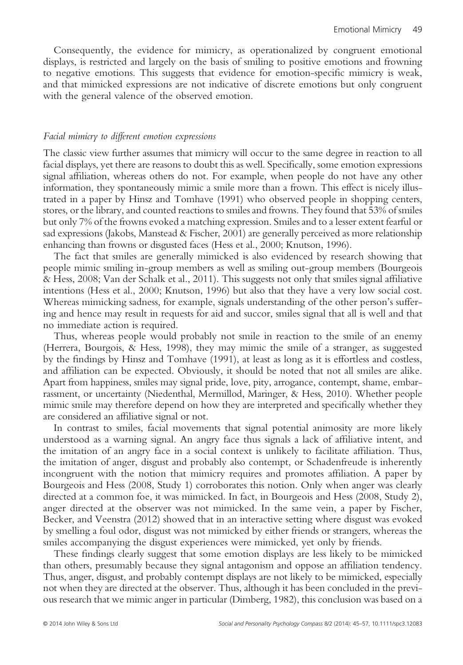Consequently, the evidence for mimicry, as operationalized by congruent emotional displays, is restricted and largely on the basis of smiling to positive emotions and frowning to negative emotions. This suggests that evidence for emotion-specific mimicry is weak, and that mimicked expressions are not indicative of discrete emotions but only congruent with the general valence of the observed emotion.

#### Facial mimicry to different emotion expressions

The classic view further assumes that mimicry will occur to the same degree in reaction to all facial displays, yet there are reasons to doubt this as well. Specifically, some emotion expressions signal affiliation, whereas others do not. For example, when people do not have any other information, they spontaneously mimic a smile more than a frown. This effect is nicely illustrated in a paper by Hinsz and Tomhave (1991) who observed people in shopping centers, stores, or the library, and counted reactions to smiles and frowns. They found that 53% of smiles but only 7% of the frowns evoked a matching expression. Smiles and to a lesser extent fearful or sad expressions (Jakobs, Manstead & Fischer, 2001) are generally perceived as more relationship enhancing than frowns or disgusted faces (Hess et al., 2000; Knutson, 1996).

The fact that smiles are generally mimicked is also evidenced by research showing that people mimic smiling in-group members as well as smiling out-group members (Bourgeois & Hess, 2008; Van der Schalk et al., 2011). This suggests not only that smiles signal affiliative intentions (Hess et al., 2000; Knutson, 1996) but also that they have a very low social cost. Whereas mimicking sadness, for example, signals understanding of the other person's suffering and hence may result in requests for aid and succor, smiles signal that all is well and that no immediate action is required.

Thus, whereas people would probably not smile in reaction to the smile of an enemy (Herrera, Bourgois, & Hess, 1998), they may mimic the smile of a stranger, as suggested by the findings by Hinsz and Tomhave (1991), at least as long as it is effortless and costless, and affiliation can be expected. Obviously, it should be noted that not all smiles are alike. Apart from happiness, smiles may signal pride, love, pity, arrogance, contempt, shame, embarrassment, or uncertainty (Niedenthal, Mermillod, Maringer, & Hess, 2010). Whether people mimic smile may therefore depend on how they are interpreted and specifically whether they are considered an affiliative signal or not.

In contrast to smiles, facial movements that signal potential animosity are more likely understood as a warning signal. An angry face thus signals a lack of affiliative intent, and the imitation of an angry face in a social context is unlikely to facilitate affiliation. Thus, the imitation of anger, disgust and probably also contempt, or Schadenfreude is inherently incongruent with the notion that mimicry requires and promotes affiliation. A paper by Bourgeois and Hess (2008, Study 1) corroborates this notion. Only when anger was clearly directed at a common foe, it was mimicked. In fact, in Bourgeois and Hess (2008, Study 2), anger directed at the observer was not mimicked. In the same vein, a paper by Fischer, Becker, and Veenstra (2012) showed that in an interactive setting where disgust was evoked by smelling a foul odor, disgust was not mimicked by either friends or strangers, whereas the smiles accompanying the disgust experiences were mimicked, yet only by friends.

These findings clearly suggest that some emotion displays are less likely to be mimicked than others, presumably because they signal antagonism and oppose an affiliation tendency. Thus, anger, disgust, and probably contempt displays are not likely to be mimicked, especially not when they are directed at the observer. Thus, although it has been concluded in the previous research that we mimic anger in particular (Dimberg, 1982), this conclusion was based on a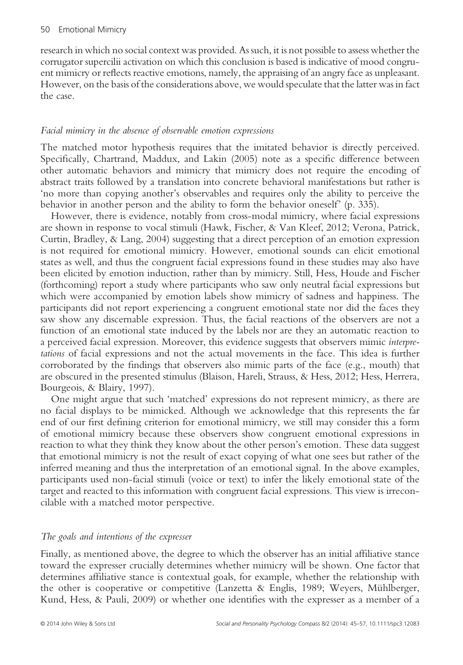research in which no social context was provided. As such, it is not possible to assess whether the corrugator supercilii activation on which this conclusion is based is indicative of mood congruent mimicry or reflects reactive emotions, namely, the appraising of an angry face as unpleasant. However, on the basis of the considerations above, we would speculate that the latter was in fact the case.

#### Facial mimicry in the absence of observable emotion expressions

The matched motor hypothesis requires that the imitated behavior is directly perceived. Specifically, Chartrand, Maddux, and Lakin (2005) note as a specific difference between other automatic behaviors and mimicry that mimicry does not require the encoding of abstract traits followed by a translation into concrete behavioral manifestations but rather is 'no more than copying another's observables and requires only the ability to perceive the behavior in another person and the ability to form the behavior oneself' (p. 335).

However, there is evidence, notably from cross-modal mimicry, where facial expressions are shown in response to vocal stimuli (Hawk, Fischer, & Van Kleef, 2012; Verona, Patrick, Curtin, Bradley, & Lang, 2004) suggesting that a direct perception of an emotion expression is not required for emotional mimicry. However, emotional sounds can elicit emotional states as well, and thus the congruent facial expressions found in these studies may also have been elicited by emotion induction, rather than by mimicry. Still, Hess, Houde and Fischer (forthcoming) report a study where participants who saw only neutral facial expressions but which were accompanied by emotion labels show mimicry of sadness and happiness. The participants did not report experiencing a congruent emotional state nor did the faces they saw show any discernable expression. Thus, the facial reactions of the observers are not a function of an emotional state induced by the labels nor are they an automatic reaction to a perceived facial expression. Moreover, this evidence suggests that observers mimic interpretations of facial expressions and not the actual movements in the face. This idea is further corroborated by the findings that observers also mimic parts of the face (e.g., mouth) that are obscured in the presented stimulus (Blaison, Hareli, Strauss, & Hess, 2012; Hess, Herrera, Bourgeois, & Blairy, 1997).

One might argue that such 'matched' expressions do not represent mimicry, as there are no facial displays to be mimicked. Although we acknowledge that this represents the far end of our first defining criterion for emotional mimicry, we still may consider this a form of emotional mimicry because these observers show congruent emotional expressions in reaction to what they think they know about the other person's emotion. These data suggest that emotional mimicry is not the result of exact copying of what one sees but rather of the inferred meaning and thus the interpretation of an emotional signal. In the above examples, participants used non-facial stimuli (voice or text) to infer the likely emotional state of the target and reacted to this information with congruent facial expressions. This view is irreconcilable with a matched motor perspective.

## The goals and intentions of the expresser

Finally, as mentioned above, the degree to which the observer has an initial affiliative stance toward the expresser crucially determines whether mimicry will be shown. One factor that determines affiliative stance is contextual goals, for example, whether the relationship with the other is cooperative or competitive (Lanzetta & Englis, 1989; Weyers, Mühlberger, Kund, Hess, & Pauli, 2009) or whether one identifies with the expresser as a member of a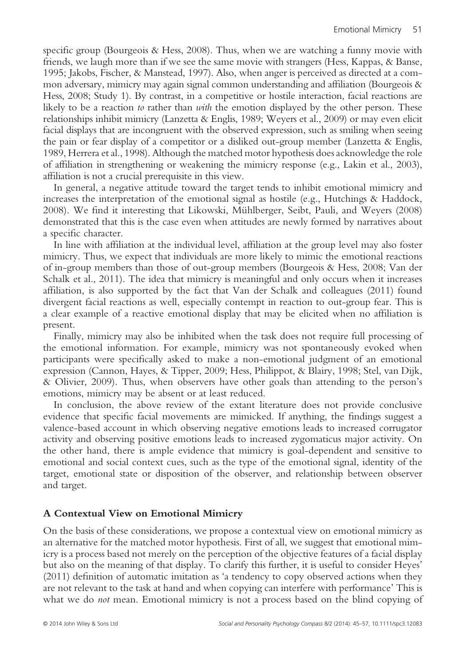specific group (Bourgeois & Hess, 2008). Thus, when we are watching a funny movie with friends, we laugh more than if we see the same movie with strangers (Hess, Kappas, & Banse, 1995; Jakobs, Fischer, & Manstead, 1997). Also, when anger is perceived as directed at a common adversary, mimicry may again signal common understanding and affiliation (Bourgeois  $\&$ Hess, 2008; Study 1). By contrast, in a competitive or hostile interaction, facial reactions are likely to be a reaction to rather than with the emotion displayed by the other person. These relationships inhibit mimicry (Lanzetta & Englis, 1989; Weyers et al., 2009) or may even elicit facial displays that are incongruent with the observed expression, such as smiling when seeing the pain or fear display of a competitor or a disliked out-group member (Lanzetta & Englis, 1989, Herrera et al., 1998). Although the matched motor hypothesis does acknowledge the role of affiliation in strengthening or weakening the mimicry response (e.g., Lakin et al., 2003), affiliation is not a crucial prerequisite in this view.

In general, a negative attitude toward the target tends to inhibit emotional mimicry and increases the interpretation of the emotional signal as hostile (e.g., Hutchings & Haddock, 2008). We find it interesting that Likowski, Mühlberger, Seibt, Pauli, and Weyers (2008) demonstrated that this is the case even when attitudes are newly formed by narratives about a specific character.

In line with affiliation at the individual level, affiliation at the group level may also foster mimicry. Thus, we expect that individuals are more likely to mimic the emotional reactions of in-group members than those of out-group members (Bourgeois & Hess, 2008; Van der Schalk et al., 2011). The idea that mimicry is meaningful and only occurs when it increases affiliation, is also supported by the fact that Van der Schalk and colleagues (2011) found divergent facial reactions as well, especially contempt in reaction to out-group fear. This is a clear example of a reactive emotional display that may be elicited when no affiliation is present.

Finally, mimicry may also be inhibited when the task does not require full processing of the emotional information. For example, mimicry was not spontaneously evoked when participants were specifically asked to make a non-emotional judgment of an emotional expression (Cannon, Hayes, & Tipper, 2009; Hess, Philippot, & Blairy, 1998; Stel, van Dijk, & Olivier, 2009). Thus, when observers have other goals than attending to the person's emotions, mimicry may be absent or at least reduced.

In conclusion, the above review of the extant literature does not provide conclusive evidence that specific facial movements are mimicked. If anything, the findings suggest a valence-based account in which observing negative emotions leads to increased corrugator activity and observing positive emotions leads to increased zygomaticus major activity. On the other hand, there is ample evidence that mimicry is goal-dependent and sensitive to emotional and social context cues, such as the type of the emotional signal, identity of the target, emotional state or disposition of the observer, and relationship between observer and target.

## A Contextual View on Emotional Mimicry

On the basis of these considerations, we propose a contextual view on emotional mimicry as an alternative for the matched motor hypothesis. First of all, we suggest that emotional mimicry is a process based not merely on the perception of the objective features of a facial display but also on the meaning of that display. To clarify this further, it is useful to consider Heyes' (2011) definition of automatic imitation as 'a tendency to copy observed actions when they are not relevant to the task at hand and when copying can interfere with performance' This is what we do *not* mean. Emotional mimicry is not a process based on the blind copying of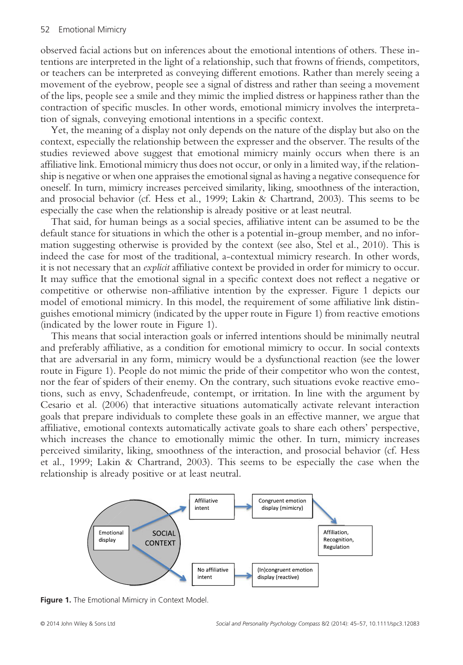observed facial actions but on inferences about the emotional intentions of others. These intentions are interpreted in the light of a relationship, such that frowns of friends, competitors, or teachers can be interpreted as conveying different emotions. Rather than merely seeing a movement of the eyebrow, people see a signal of distress and rather than seeing a movement of the lips, people see a smile and they mimic the implied distress or happiness rather than the contraction of specific muscles. In other words, emotional mimicry involves the interpretation of signals, conveying emotional intentions in a specific context.

Yet, the meaning of a display not only depends on the nature of the display but also on the context, especially the relationship between the expresser and the observer. The results of the studies reviewed above suggest that emotional mimicry mainly occurs when there is an affiliative link. Emotional mimicry thus does not occur, or only in a limited way, if the relationship is negative or when one appraises the emotional signal as having a negative consequence for oneself. In turn, mimicry increases perceived similarity, liking, smoothness of the interaction, and prosocial behavior (cf. Hess et al., 1999; Lakin & Chartrand, 2003). This seems to be especially the case when the relationship is already positive or at least neutral.

That said, for human beings as a social species, affiliative intent can be assumed to be the default stance for situations in which the other is a potential in-group member, and no information suggesting otherwise is provided by the context (see also, Stel et al., 2010). This is indeed the case for most of the traditional, a-contextual mimicry research. In other words, it is not necessary that an *explicit* affiliative context be provided in order for mimicry to occur. It may suffice that the emotional signal in a specific context does not reflect a negative or competitive or otherwise non-affiliative intention by the expresser. Figure 1 depicts our model of emotional mimicry. In this model, the requirement of some affiliative link distinguishes emotional mimicry (indicated by the upper route in Figure 1) from reactive emotions (indicated by the lower route in Figure 1).

This means that social interaction goals or inferred intentions should be minimally neutral and preferably affiliative, as a condition for emotional mimicry to occur. In social contexts that are adversarial in any form, mimicry would be a dysfunctional reaction (see the lower route in Figure 1). People do not mimic the pride of their competitor who won the contest, nor the fear of spiders of their enemy. On the contrary, such situations evoke reactive emotions, such as envy, Schadenfreude, contempt, or irritation. In line with the argument by Cesario et al. (2006) that interactive situations automatically activate relevant interaction goals that prepare individuals to complete these goals in an effective manner, we argue that affiliative, emotional contexts automatically activate goals to share each others' perspective, which increases the chance to emotionally mimic the other. In turn, mimicry increases perceived similarity, liking, smoothness of the interaction, and prosocial behavior (cf. Hess et al., 1999; Lakin & Chartrand, 2003). This seems to be especially the case when the relationship is already positive or at least neutral.



Figure 1. The Emotional Mimicry in Context Model.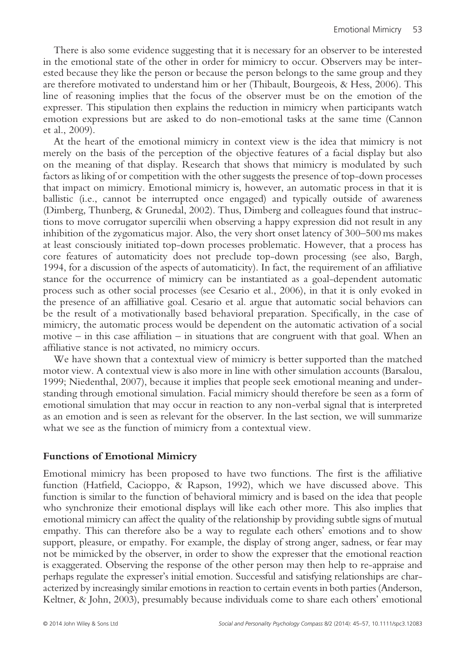There is also some evidence suggesting that it is necessary for an observer to be interested in the emotional state of the other in order for mimicry to occur. Observers may be interested because they like the person or because the person belongs to the same group and they are therefore motivated to understand him or her (Thibault, Bourgeois, & Hess, 2006). This line of reasoning implies that the focus of the observer must be on the emotion of the expresser. This stipulation then explains the reduction in mimicry when participants watch emotion expressions but are asked to do non-emotional tasks at the same time (Cannon et al., 2009).

At the heart of the emotional mimicry in context view is the idea that mimicry is not merely on the basis of the perception of the objective features of a facial display but also on the meaning of that display. Research that shows that mimicry is modulated by such factors as liking of or competition with the other suggests the presence of top-down processes that impact on mimicry. Emotional mimicry is, however, an automatic process in that it is ballistic (i.e., cannot be interrupted once engaged) and typically outside of awareness (Dimberg, Thunberg, & Grunedal, 2002). Thus, Dimberg and colleagues found that instructions to move corrugator supercilii when observing a happy expression did not result in any inhibition of the zygomaticus major. Also, the very short onset latency of 300–500 ms makes at least consciously initiated top-down processes problematic. However, that a process has core features of automaticity does not preclude top-down processing (see also, Bargh, 1994, for a discussion of the aspects of automaticity). In fact, the requirement of an affiliative stance for the occurrence of mimicry can be instantiated as a goal-dependent automatic process such as other social processes (see Cesario et al., 2006), in that it is only evoked in the presence of an affilliative goal. Cesario et al. argue that automatic social behaviors can be the result of a motivationally based behavioral preparation. Specifically, in the case of mimicry, the automatic process would be dependent on the automatic activation of a social motive  $-$  in this case affiliation  $-$  in situations that are congruent with that goal. When an affiliative stance is not activated, no mimicry occurs.

We have shown that a contextual view of mimicry is better supported than the matched motor view. A contextual view is also more in line with other simulation accounts (Barsalou, 1999; Niedenthal, 2007), because it implies that people seek emotional meaning and understanding through emotional simulation. Facial mimicry should therefore be seen as a form of emotional simulation that may occur in reaction to any non-verbal signal that is interpreted as an emotion and is seen as relevant for the observer. In the last section, we will summarize what we see as the function of mimicry from a contextual view.

## Functions of Emotional Mimicry

Emotional mimicry has been proposed to have two functions. The first is the affiliative function (Hatfield, Cacioppo, & Rapson, 1992), which we have discussed above. This function is similar to the function of behavioral mimicry and is based on the idea that people who synchronize their emotional displays will like each other more. This also implies that emotional mimicry can affect the quality of the relationship by providing subtle signs of mutual empathy. This can therefore also be a way to regulate each others' emotions and to show support, pleasure, or empathy. For example, the display of strong anger, sadness, or fear may not be mimicked by the observer, in order to show the expresser that the emotional reaction is exaggerated. Observing the response of the other person may then help to re-appraise and perhaps regulate the expresser's initial emotion. Successful and satisfying relationships are characterized by increasingly similar emotions in reaction to certain events in both parties (Anderson, Keltner, & John, 2003), presumably because individuals come to share each others' emotional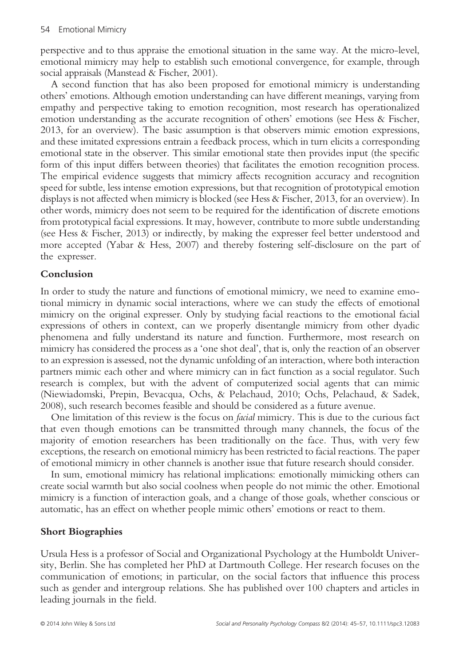perspective and to thus appraise the emotional situation in the same way. At the micro-level, emotional mimicry may help to establish such emotional convergence, for example, through social appraisals (Manstead & Fischer, 2001).

A second function that has also been proposed for emotional mimicry is understanding others' emotions. Although emotion understanding can have different meanings, varying from empathy and perspective taking to emotion recognition, most research has operationalized emotion understanding as the accurate recognition of others' emotions (see Hess & Fischer, 2013, for an overview). The basic assumption is that observers mimic emotion expressions, and these imitated expressions entrain a feedback process, which in turn elicits a corresponding emotional state in the observer. This similar emotional state then provides input (the specific form of this input differs between theories) that facilitates the emotion recognition process. The empirical evidence suggests that mimicry affects recognition accuracy and recognition speed for subtle, less intense emotion expressions, but that recognition of prototypical emotion displays is not affected when mimicry is blocked (see Hess & Fischer, 2013, for an overview). In other words, mimicry does not seem to be required for the identification of discrete emotions from prototypical facial expressions. It may, however, contribute to more subtle understanding (see Hess & Fischer, 2013) or indirectly, by making the expresser feel better understood and more accepted (Yabar & Hess, 2007) and thereby fostering self-disclosure on the part of the expresser.

# Conclusion

In order to study the nature and functions of emotional mimicry, we need to examine emotional mimicry in dynamic social interactions, where we can study the effects of emotional mimicry on the original expresser. Only by studying facial reactions to the emotional facial expressions of others in context, can we properly disentangle mimicry from other dyadic phenomena and fully understand its nature and function. Furthermore, most research on mimicry has considered the process as a 'one shot deal', that is, only the reaction of an observer to an expression is assessed, not the dynamic unfolding of an interaction, where both interaction partners mimic each other and where mimicry can in fact function as a social regulator. Such research is complex, but with the advent of computerized social agents that can mimic (Niewiadomski, Prepin, Bevacqua, Ochs, & Pelachaud, 2010; Ochs, Pelachaud, & Sadek, 2008), such research becomes feasible and should be considered as a future avenue.

One limitation of this review is the focus on facial mimicry. This is due to the curious fact that even though emotions can be transmitted through many channels, the focus of the majority of emotion researchers has been traditionally on the face. Thus, with very few exceptions, the research on emotional mimicry has been restricted to facial reactions. The paper of emotional mimicry in other channels is another issue that future research should consider.

In sum, emotional mimicry has relational implications: emotionally mimicking others can create social warmth but also social coolness when people do not mimic the other. Emotional mimicry is a function of interaction goals, and a change of those goals, whether conscious or automatic, has an effect on whether people mimic others' emotions or react to them.

## Short Biographies

Ursula Hess is a professor of Social and Organizational Psychology at the Humboldt University, Berlin. She has completed her PhD at Dartmouth College. Her research focuses on the communication of emotions; in particular, on the social factors that influence this process such as gender and intergroup relations. She has published over 100 chapters and articles in leading journals in the field.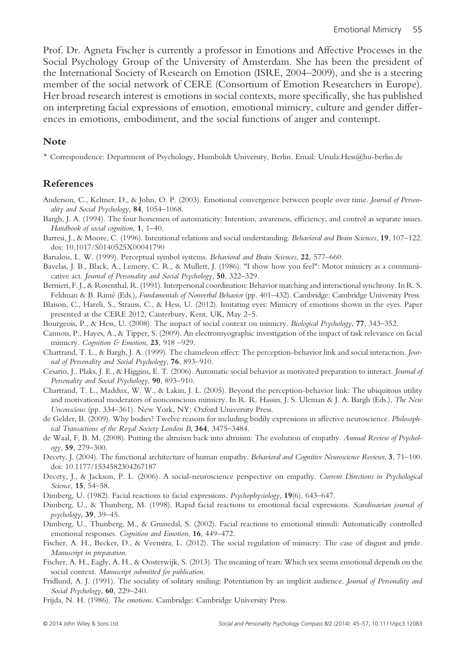Prof. Dr. Agneta Fischer is currently a professor in Emotions and Affective Processes in the Social Psychology Group of the University of Amsterdam. She has been the president of the International Society of Research on Emotion (ISRE, 2004–2009), and she is a steering member of the social network of CERE (Consortium of Emotion Researchers in Europe). Her broad research interest is emotions in social contexts, more specifically, she has published on interpreting facial expressions of emotion, emotional mimicry, culture and gender differences in emotions, embodiment, and the social functions of anger and contempt.

#### Note

\* Correspondence: Department of Psychology, Humboldt University, Berlin. Email: Ursula.Hess@hu-berlin.de

#### References

- Anderson, C., Keltner, D., & John, O. P. (2003). Emotional convergence between people over time. Journal of Personality and Social Psychology, 84, 1054-1068.
- Bargh, J. A. (1994). The four horsemen of automaticity: Intention, awareness, efficiency, and control as separate issues. Handbook of social cognition, 1, 1–40.
- Barresi, J., & Moore, C. (1996). Intentional relations and social understanding. Behavioral and Brain Sciences, 19, 107-122. doi: 10.1017/S0140525X00041790
- Barsalou, L. W. (1999). Perceptual symbol systems. Behavioral and Brain Sciences, 22, 577-660.
- Bavelas, J. B., Black, A., Lemery, C. R., & Mullett, J. (1986). "I show how you feel": Motor mimicry as a communicative act. Journal of Personality and Social Psychology, 50, 322–329.
- Bernieri, F. J., & Rosenthal, R. (1991). Interpersonal coordination: Behavior matching and interactional synchrony. In R. S. Feldman & B. Rimé (Eds.), Fundamentals of Nonverbal Behavior (pp. 401–432). Cambridge: Cambridge University Press.
- Blaison, C., Hareli, S., Strauss, C., & Hess, U. (2012). Imitating eyes: Mimicry of emotions shown in the eyes. Paper presented at the CERE 2012, Canterbury, Kent, UK, May 2–5.
- Bourgeois, P., & Hess, U. (2008). The impact of social context on mimicry. Biological Psychology, 77, 343–352.
- Cannon, P., Hayes, A., & Tipper, S. (2009). An electromyographic investigation of the impact of task relevance on facial mimicry. Cognition & Emotion, 23, 918 -929.
- Chartrand, T. L., & Bargh, J. A. (1999). The chameleon effect: The perception-behavior link and social interaction. Journal of Personality and Social Psychology, 76, 893-910.
- Cesario, J., Plaks, J. E., & Higgins, E. T. (2006). Automatic social behavior as motivated preparation to interact. Journal of Personality and Social Psychology, 90, 893-910.
- Chartrand, T. L., Maddux, W. W., & Lakin, J. L. (2005). Beyond the perception-behavior link: The ubiquitous utility and motivational moderators of nonconscious mimicry. In R. R. Hassin, J. S. Uleman & J. A. Bargh (Eds.), The New Unconscious (pp. 334–361). New York, NY: Oxford University Press.
- de Gelder, B. (2009). Why bodies? Twelve reasons for including bodily expressions in affective neuroscience. Philosophical Transactions of the Royal Society London B, 364, 3475–3484.
- de Waal, F. B. M. (2008). Putting the altruism back into altruism: The evolution of empathy. Annual Review of Psychology, 59, 279–300.
- Decety, J. (2004). The functional architecture of human empathy. Behavioral and Cognitive Neuroscience Reviews, 3, 71–100. doi: 10.1177/1534582304267187
- Decety, J., & Jackson, P. L. (2006). A social-neuroscience perspective on empathy. Current Directions in Psychological Science, **15**, 54-58.
- Dimberg, U. (1982). Facial reactions to facial expressions. Psychophysiology, 19(6), 643–647.
- Dimberg, U., & Thunberg, M. (1998). Rapid facial reactions to emotional facial expressions. Scandinavian journal of psychology, 39, 39–45.
- Dimberg, U., Thunberg, M., & Grunedal, S. (2002). Facial reactions to emotional stimuli: Automatically controlled emotional responses. Cognition and Emotion, 16, 449–472.
- Fischer, A. H., Becker, D., & Veenstra, L. (2012). The social regulation of mimicry: The case of disgust and pride. Manuscript in preparation.
- Fischer, A. H., Eagly, A. H., & Oosterwijk, S. (2013). The meaning of tears: Which sex seems emotional depends on the social context. Manuscript submitted for publication.
- Fridlund, A. J. (1991). The sociality of solitary smiling: Potentiation by an implicit audience. Journal of Personality and Social Psychology, 60, 229-240.
- Frijda, N. H. (1986). The emotions. Cambridge: Cambridge University Press.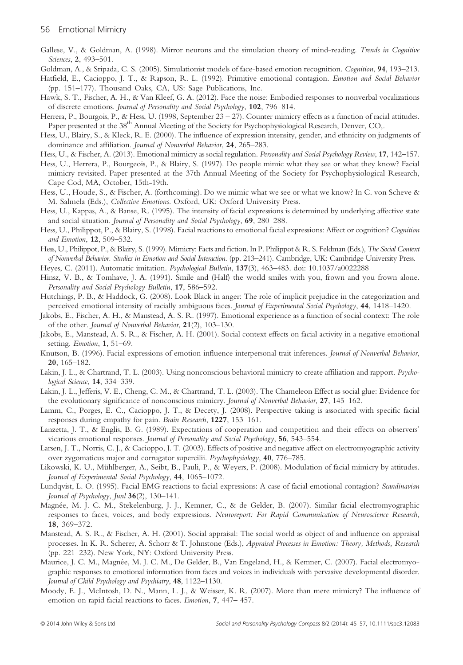- Gallese, V., & Goldman, A. (1998). Mirror neurons and the simulation theory of mind-reading. Trends in Cognitive Sciences, 2, 493–501.
- Goldman, A., & Sripada, C. S. (2005). Simulationist models of face-based emotion recognition. Cognition, 94, 193–213.
- Hatfield, E., Cacioppo, J. T., & Rapson, R. L. (1992). Primitive emotional contagion. Emotion and Social Behavior (pp. 151–177). Thousand Oaks, CA, US: Sage Publications, Inc.
- Hawk, S. T., Fischer, A. H., & Van Kleef, G. A. (2012). Face the noise: Embodied responses to nonverbal vocalizations of discrete emotions. Journal of Personality and Social Psychology, 102, 796–814.
- Herrera, P., Bourgois, P., & Hess, U. (1998, September  $23 27$ ). Counter mimicry effects as a function of racial attitudes. Paper presented at the 38<sup>th</sup> Annual Meeting of the Society for Psychophysiological Research, Denver, CO,.
- Hess, U., Blairy, S., & Kleck, R. E. (2000). The influence of expression intensity, gender, and ethnicity on judgments of dominance and affiliation. Journal of Nonverbal Behavior, 24, 265–283.
- Hess, U., & Fischer, A. (2013). Emotional mimicry as social regulation. Personality and Social Psychology Review, 17, 142–157.
- Hess, U., Herrera, P., Bourgeois, P., & Blairy, S. (1997). Do people mimic what they see or what they know? Facial mimicry revisited. Paper presented at the 37th Annual Meeting of the Society for Psychophysiological Research, Cape Cod, MA, October, 15th-19th.
- Hess, U., Houde, S., & Fischer, A. (forthcoming). Do we mimic what we see or what we know? In C. von Scheve & M. Salmela (Eds.), Collective Emotions. Oxford, UK: Oxford University Press.
- Hess, U., Kappas, A., & Banse, R. (1995). The intensity of facial expressions is determined by underlying affective state and social situation. Journal of Personality and Social Psychology, 69, 280–288.
- Hess, U., Philippot, P., & Blairy, S. (1998). Facial reactions to emotional facial expressions: Affect or cognition? Cognition and Emotion, 12, 509–532.
- Hess, U., Philippot, P., & Blairy, S. (1999). Mimicry: Facts and fiction. In P. Philippot & R. S. Feldman (Eds.), The Social Context of Nonverbal Behavior. Studies in Emotion and Social Interaction. (pp. 213–241). Cambridge, UK: Cambridge University Press.
- Heyes, C. (2011). Automatic imitation. Psychological Bulletin, 137(3), 463–483. doi: 10.1037/a0022288
- Hinsz, V. B., & Tomhave, J. A. (1991). Smile and (Half) the world smiles with you, frown and you frown alone. Personality and Social Psychology Bulletin, 17, 586–592.
- Hutchings, P. B., & Haddock, G. (2008). Look Black in anger: The role of implicit prejudice in the categorization and perceived emotional intensity of racially ambiguous faces. Journal of Experimental Social Psychology, 44, 1418-1420.
- Jakobs, E., Fischer, A. H., & Manstead, A. S. R. (1997). Emotional experience as a function of social context: The role of the other. Journal of Nonverbal Behavior, 21(2), 103–130.
- Jakobs, E., Manstead, A. S. R., & Fischer, A. H. (2001). Social context effects on facial activity in a negative emotional setting. Emotion, 1, 51-69.
- Knutson, B. (1996). Facial expressions of emotion influence interpersonal trait inferences. Journal of Nonverbal Behavior, 20, 165–182.
- Lakin, J. L., & Chartrand, T. L. (2003). Using nonconscious behavioral mimicry to create affiliation and rapport. Psychological Science, 14, 334–339.
- Lakin, J. L., Jefferis, V. E., Cheng, C. M., & Chartrand, T. L. (2003). The Chameleon Effect as social glue: Evidence for the evolutionary significance of nonconscious mimicry. Journal of Nonverbal Behavior, 27, 145–162.
- Lamm, C., Porges, E. C., Cacioppo, J. T., & Decety, J. (2008). Perspective taking is associated with specific facial responses during empathy for pain. Brain Research, 1227, 153–161.
- Lanzetta, J. T., & Englis, B. G. (1989). Expectations of cooperation and competition and their effects on observers' vicarious emotional responses. Journal of Personality and Social Psychology, 56, 543–554.
- Larsen, J. T., Norris, C. J., & Cacioppo, J. T. (2003). Effects of positive and negative affect on electromyographic activity over zygomaticus major and corrugator supercilii. Psychophysiology, 40, 776–785.
- Likowski, K. U., Mühlberger, A., Seibt, B., Pauli, P., & Weyers, P. (2008). Modulation of facial mimicry by attitudes. Journal of Experimental Social Psychology, 44, 1065–1072.
- Lundqvist, L. O. (1995). Facial EMG reactions to facial expressions: A case of facial emotional contagion? Scandinavian Journal of Psychology, Junl 36(2), 130-141.
- Magnée, M. J. C. M., Stekelenburg, J. J., Kemner, C., & de Gelder, B. (2007). Similar facial electromyographic responses to faces, voices, and body expressions. Neuroreport: For Rapid Communication of Neuroscience Research, 18, 369–372.
- Manstead, A. S. R., & Fischer, A. H. (2001). Social appraisal: The social world as object of and influence on appraisal processes. In K. R. Scherer, A. Schorr & T. Johnstone (Eds.), Appraisal Processes in Emotion: Theory, Methods, Research (pp. 221–232). New York, NY: Oxford University Press.
- Maurice, J. C. M., Magnée, M. J. C. M., De Gelder, B., Van Engeland, H., & Kemner, C. (2007). Facial electromyographic responses to emotional information from faces and voices in individuals with pervasive developmental disorder. Journal of Child Psychology and Psychiatry, 48, 1122–1130.
- Moody, E. J., McIntosh, D. N., Mann, L. J., & Weisser, K. R. (2007). More than mere mimicry? The influence of emotion on rapid facial reactions to faces. Emotion, 7, 447– 457.